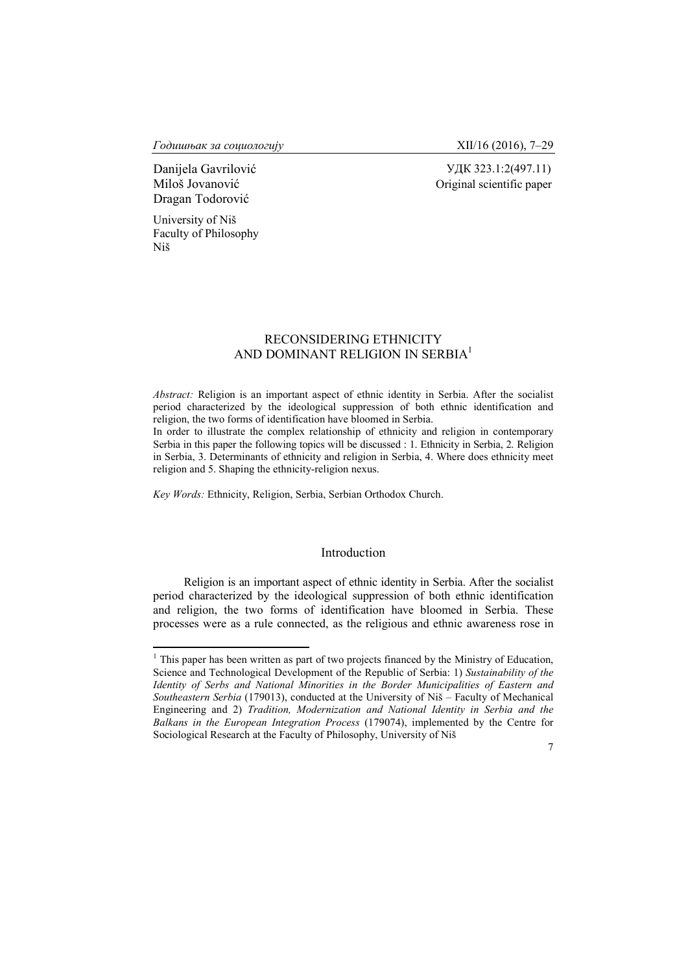*Годишњак за социологију* XII/16 (2016), 7–29

Dragan Todorović

Danijela Gavrilović УДК 323.1:2(497.11) Miloš Jovanović Original scientific paper

University of Niš Faculty of Philosophy Niš

# RECONSIDERING ETHNICITY AND DOMINANT RELIGION IN SERBIA<sup>1</sup>

*Abstract:* Religion is an important aspect of ethnic identity in Serbia. After the socialist period characterized by the ideological suppression of both ethnic identification and religion, the two forms of identification have bloomed in Serbia.

In order to illustrate the complex relationship of ethnicity and religion in contemporary Serbia in this paper the following topics will be discussed : 1. Ethnicity in Serbia, 2. Religion in Serbia, 3. Determinants of ethnicity and religion in Serbia, 4. Where does ethnicity meet religion and 5. Shaping the ethnicity-religion nexus.

*Key Words:* Ethnicity, Religion, Serbia, Serbian Orthodox Church.

# Introduction

Religion is an important aspect of ethnic identity in Serbia. After the socialist period characterized by the ideological suppression of both ethnic identification and religion, the two forms of identification have bloomed in Serbia. These processes were as a rule connected, as the religious and ethnic awareness rose in

 $<sup>1</sup>$  This paper has been written as part of two projects financed by the Ministry of Education,</sup> Science and Technological Development of the Republic of Serbia: 1) *Sustainability of the Identity of Serbs and National Minorities in the Border Municipalities of Eastern and Southeastern Serbia* (179013), conducted at the University of Niš – Faculty of Mechanical Engineering and 2) *Tradition, Modernization and National Identity in Serbia and the Balkans in the European Integration Process* (179074), implemented by the Centre for Sociological Research at the Faculty of Philosophy, University of Niš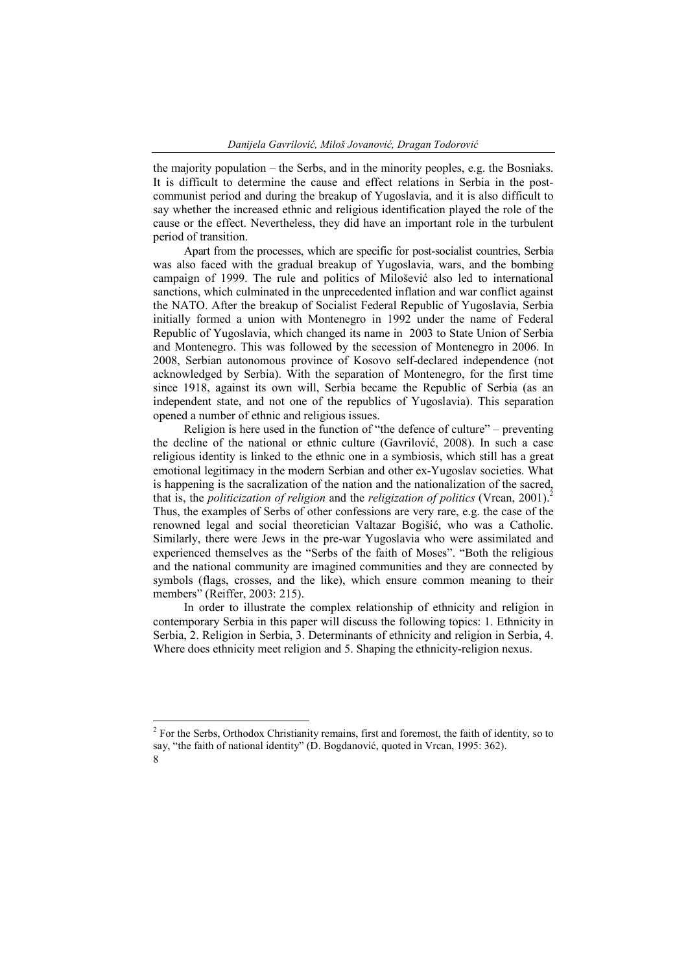the majority population – the Serbs, and in the minority peoples, e.g. the Bosniaks. It is difficult to determine the cause and effect relations in Serbia in the postcommunist period and during the breakup of Yugoslavia, and it is also difficult to say whether the increased ethnic and religious identification played the role of the cause or the effect. Nevertheless, they did have an important role in the turbulent period of transition.

Apart from the processes, which are specific for post-socialist countries, Serbia was also faced with the gradual breakup of Yugoslavia, wars, and the bombing campaign of 1999. The rule and politics of Milošević also led to international sanctions, which culminated in the unprecedented inflation and war conflict against the NATO. After the breakup of Socialist Federal Republic of Yugoslavia, Serbia initially formed a union with Montenegro in 1992 under the name of Federal Republic of Yugoslavia, which changed its name in 2003 to State Union of Serbia and Montenegro. This was followed by the secession of Montenegro in 2006. In 2008, Serbian autonomous province of Kosovo self-declared independence (not acknowledged by Serbia). With the separation of Montenegro, for the first time since 1918, against its own will, Serbia became the Republic of Serbia (as an independent state, and not one of the republics of Yugoslavia). This separation opened a number of ethnic and religious issues.

Religion is here used in the function of "the defence of culture" – preventing the decline of the national or ethnic culture (Gavrilović, 2008). In such a case religious identity is linked to the ethnic one in a symbiosis, which still has a great emotional legitimacy in the modern Serbian and other ex-Yugoslav societies. What is happening is the sacralization of the nation and the nationalization of the sacred, that is, the *politicization of religion* and the *religization of politics* (Vrcan, 2001).<sup>2</sup> Thus, the examples of Serbs of other confessions are very rare, e.g. the case of the renowned legal and social theoretician Valtazar Bogišić, who was a Catholic. Similarly, there were Jews in the pre-war Yugoslavia who were assimilated and experienced themselves as the "Serbs of the faith of Moses". "Both the religious and the national community are imagined communities and they are connected by symbols (flags, crosses, and the like), which ensure common meaning to their members" (Reiffer, 2003: 215).

In order to illustrate the complex relationship of ethnicity and religion in contemporary Serbia in this paper will discuss the following topics: 1. Ethnicity in Serbia, 2. Religion in Serbia, 3. Determinants of ethnicity and religion in Serbia, 4. Where does ethnicity meet religion and 5. Shaping the ethnicity-religion nexus.

<sup>8</sup>  $2$  For the Serbs, Orthodox Christianity remains, first and foremost, the faith of identity, so to say, "the faith of national identity" (D. Bogdanović, quoted in Vrcan, 1995: 362).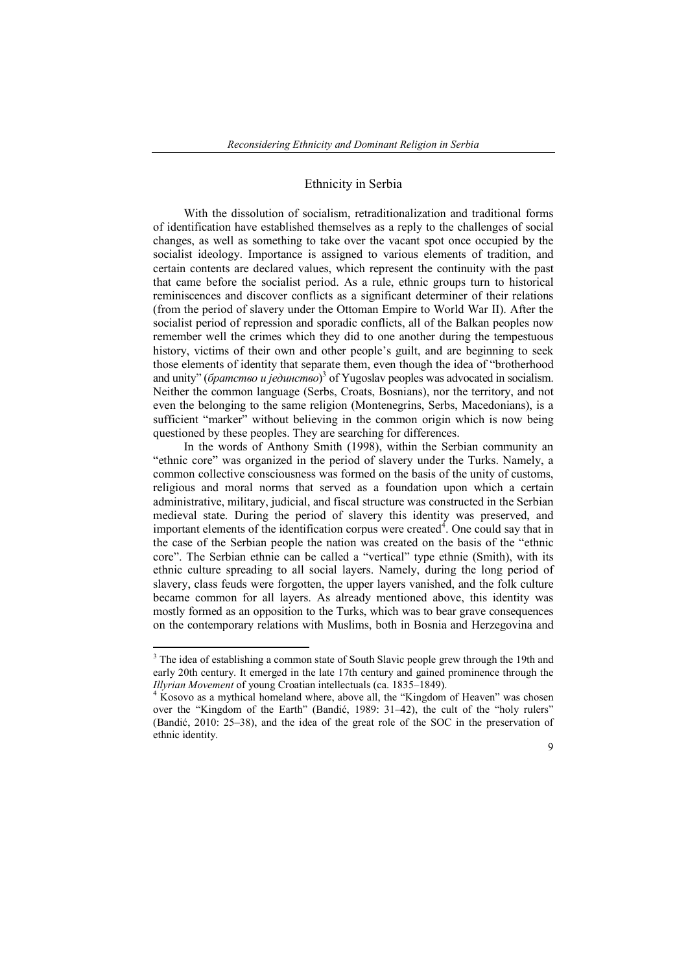## Ethnicity in Serbia

With the dissolution of socialism, retraditionalization and traditional forms of identification have established themselves as a reply to the challenges of social changes, as well as something to take over the vacant spot once occupied by the socialist ideology. Importance is assigned to various elements of tradition, and certain contents are declared values, which represent the continuity with the past that came before the socialist period. As a rule, ethnic groups turn to historical reminiscences and discover conflicts as a significant determiner of their relations (from the period of slavery under the Ottoman Empire to World War II). After the socialist period of repression and sporadic conflicts, all of the Balkan peoples now remember well the crimes which they did to one another during the tempestuous history, victims of their own and other people's guilt, and are beginning to seek those elements of identity that separate them, even though the idea of "brotherhood and unity" (*братство и јединство*) <sup>3</sup> of Yugoslav peoples was advocated in socialism. Neither the common language (Serbs, Croats, Bosnians), nor the territory, and not even the belonging to the same religion (Montenegrins, Serbs, Macedonians), is a sufficient "marker" without believing in the common origin which is now being questioned by these peoples. They are searching for differences.

In the words of Anthony Smith (1998), within the Serbian community an "ethnic core" was organized in the period of slavery under the Turks. Namely, a common collective consciousness was formed on the basis of the unity of customs, religious and moral norms that served as a foundation upon which a certain administrative, military, judicial, and fiscal structure was constructed in the Serbian medieval state. During the period of slavery this identity was preserved, and important elements of the identification corpus were created $\hat{A}$ . One could say that in the case of the Serbian people the nation was created on the basis of the "ethnic core". The Serbian ethnie can be called a "vertical" type ethnie (Smith), with its ethnic culture spreading to all social layers. Namely, during the long period of slavery, class feuds were forgotten, the upper layers vanished, and the folk culture became common for all layers. As already mentioned above, this identity was mostly formed as an opposition to the Turks, which was to bear grave consequences on the contemporary relations with Muslims, both in Bosnia and Herzegovina and

<sup>&</sup>lt;sup>3</sup> The idea of establishing a common state of South Slavic people grew through the 19th and early 20th century. It emerged in the late 17th century and gained prominence through the *Illyrian Movement* of young Croatian intellectuals (ca. 1835–1849).<br><sup>4</sup> Kosovo as a mythical homeland where, above all, the "Kingdom of Heaven" was chosen

over the "Kingdom of the Earth" (Bandić, 1989: 31–42), the cult of the "holy rulers" (Bandić, 2010: 25–38), and the idea of the great role of the SOC in the preservation of ethnic identity.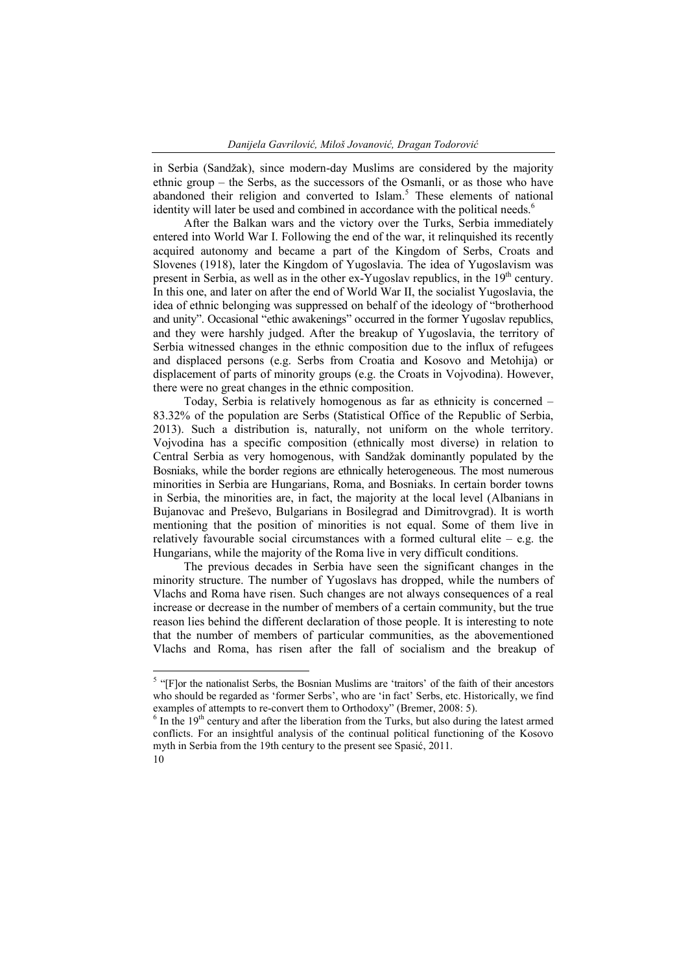in Serbia (Sandžak), since modern-day Muslims are considered by the majority ethnic group – the Serbs, as the successors of the Osmanli, or as those who have abandoned their religion and converted to Islam.<sup>5</sup> These elements of national identity will later be used and combined in accordance with the political needs.<sup>6</sup>

After the Balkan wars and the victory over the Turks, Serbia immediately entered into World War I. Following the end of the war, it relinquished its recently acquired autonomy and became a part of the Kingdom of Serbs, Croats and Slovenes (1918), later the Kingdom of Yugoslavia. The idea of Yugoslavism was present in Serbia, as well as in the other ex-Yugoslav republics, in the  $19<sup>th</sup>$  century. In this one, and later on after the end of World War II, the socialist Yugoslavia, the idea of ethnic belonging was suppressed on behalf of the ideology of "brotherhood and unity". Occasional "ethic awakenings" occurred in the former Yugoslav republics, and they were harshly judged. After the breakup of Yugoslavia, the territory of Serbia witnessed changes in the ethnic composition due to the influx of refugees and displaced persons (e.g. Serbs from Croatia and Kosovo and Metohija) or displacement of parts of minority groups (e.g. the Croats in Vojvodina). However, there were no great changes in the ethnic composition.

Today, Serbia is relatively homogenous as far as ethnicity is concerned – 83.32% of the population are Serbs (Statistical Office of the Republic of Serbia, 2013). Such a distribution is, naturally, not uniform on the whole territory. Vojvodina has a specific composition (ethnically most diverse) in relation to Central Serbia as very homogenous, with Sandžak dominantly populated by the Bosniaks, while the border regions are ethnically heterogeneous. The most numerous minorities in Serbia are Hungarians, Roma, and Bosniaks. In certain border towns in Serbia, the minorities are, in fact, the majority at the local level (Albanians in Bujanovac and Preševo, Bulgarians in Bosilegrad and Dimitrovgrad). It is worth mentioning that the position of minorities is not equal. Some of them live in relatively favourable social circumstances with a formed cultural elite – e.g. the Hungarians, while the majority of the Roma live in very difficult conditions.

The previous decades in Serbia have seen the significant changes in the minority structure. The number of Yugoslavs has dropped, while the numbers of Vlachs and Roma have risen. Such changes are not always consequences of a real increase or decrease in the number of members of a certain community, but the true reason lies behind the different declaration of those people. It is interesting to note that the number of members of particular communities, as the abovementioned Vlachs and Roma, has risen after the fall of socialism and the breakup of

<sup>&</sup>lt;sup>5</sup> "[F]or the nationalist Serbs, the Bosnian Muslims are 'traitors' of the faith of their ancestors who should be regarded as 'former Serbs', who are 'in fact' Serbs, etc. Historically, we find examples of attempts to re-convert them to Orthodoxy'' (Bremer, 2008: 5).

In the  $19<sup>th</sup>$  century and after the liberation from the Turks, but also during the latest armed conflicts. For an insightful analysis of the continual political functioning of the Kosovo myth in Serbia from the 19th century to the present see Spasić, 2011.

<sup>10</sup>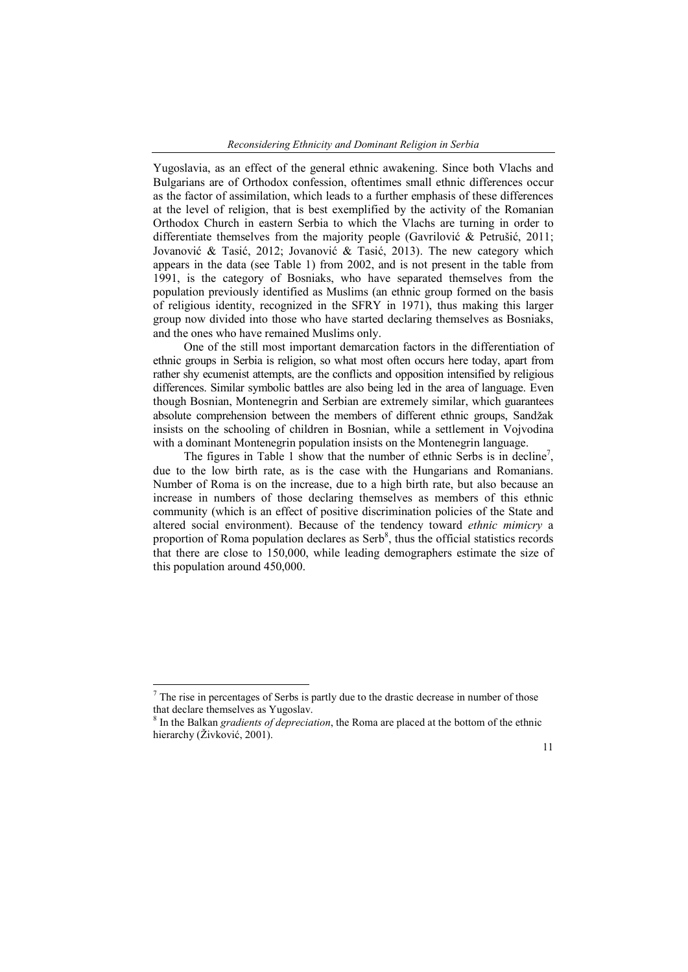Yugoslavia, as an effect of the general ethnic awakening. Since both Vlachs and Bulgarians are of Orthodox confession, oftentimes small ethnic differences occur as the factor of assimilation, which leads to a further emphasis of these differences at the level of religion, that is best exemplified by the activity of the Romanian Orthodox Church in eastern Serbia to which the Vlachs are turning in order to differentiate themselves from the majority people (Gavrilović & Petrušić, 2011; Jovanović & Tasić, 2012; Jovanović & Tasić, 2013). The new category which appears in the data (see Table 1) from 2002, and is not present in the table from 1991, is the category of Bosniaks, who have separated themselves from the population previously identified as Muslims (an ethnic group formed on the basis of religious identity, recognized in the SFRY in 1971), thus making this larger group now divided into those who have started declaring themselves as Bosniaks, and the ones who have remained Muslims only.

One of the still most important demarcation factors in the differentiation of ethnic groups in Serbia is religion, so what most often occurs here today, apart from rather shy ecumenist attempts, are the conflicts and opposition intensified by religious differences. Similar symbolic battles are also being led in the area of language. Even though Bosnian, Montenegrin and Serbian are extremely similar, which guarantees absolute comprehension between the members of different ethnic groups, Sandžak insists on the schooling of children in Bosnian, while a settlement in Vojvodina with a dominant Montenegrin population insists on the Montenegrin language.

The figures in Table 1 show that the number of ethnic Serbs is in decline<sup>7</sup>, due to the low birth rate, as is the case with the Hungarians and Romanians. Number of Roma is on the increase, due to a high birth rate, but also because an increase in numbers of those declaring themselves as members of this ethnic community (which is an effect of positive discrimination policies of the State and altered social environment). Because of the tendency toward *ethnic mimicry* a proportion of Roma population declares as  $Serb<sup>8</sup>$ , thus the official statistics records that there are close to 150,000, while leading demographers estimate the size of this population around 450,000.

<sup>8</sup> In the Balkan *gradients of depreciation*, the Roma are placed at the bottom of the ethnic hierarchy (Živković, 2001).



 $<sup>7</sup>$  The rise in percentages of Serbs is partly due to the drastic decrease in number of those</sup> that declare themselves as Yugoslav.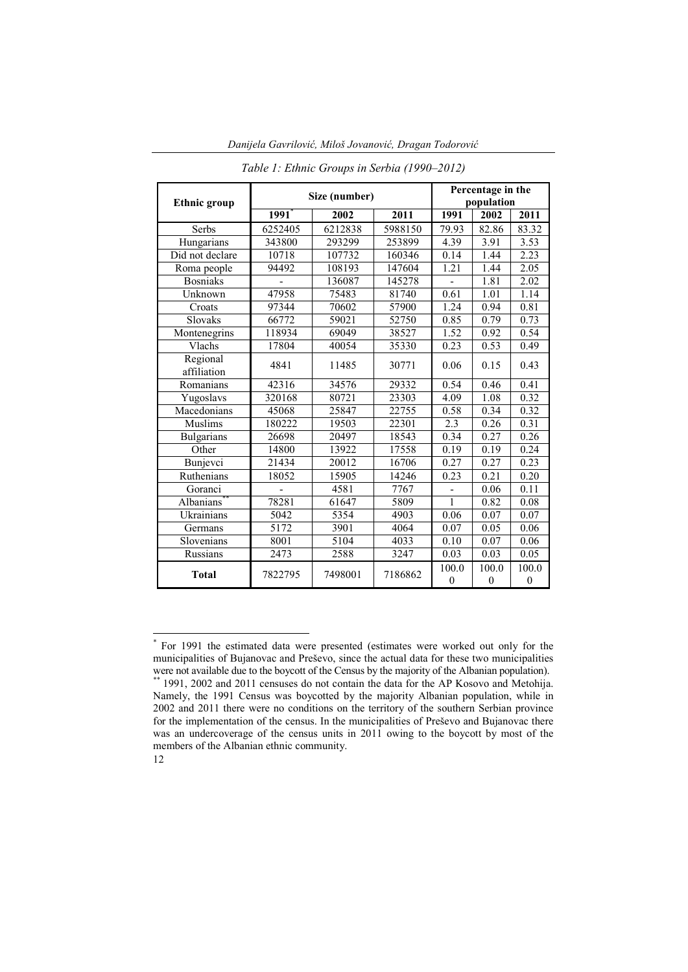| <b>Ethnic</b> group     | Size (number)       | Percentage in the<br>population |         |                           |                           |                       |
|-------------------------|---------------------|---------------------------------|---------|---------------------------|---------------------------|-----------------------|
|                         | $1991$ <sup>*</sup> | 2002                            | 2011    | 1991                      | 2002                      | 2011                  |
| Serbs                   | 6252405             | 6212838                         | 5988150 | 79.93                     | 82.86                     | 83.32                 |
| Hungarians              | 343800              | 293299                          | 253899  | 4.39                      | 3.91                      | 3.53                  |
| Did not declare         | 10718               | 107732                          | 160346  | 0.14                      | 1.44                      | 2.23                  |
| Roma people             | 94492               | 108193                          | 147604  | 1.21                      | 1.44                      | 2.05                  |
| <b>Bosniaks</b>         |                     | 136087                          | 145278  |                           | 1.81                      | 2.02                  |
| Unknown                 | 47958               | 75483                           | 81740   | 0.61                      | 1.01                      | 1.14                  |
| Croats                  | 97344               | 70602                           | 57900   | 1.24                      | 0.94                      | 0.81                  |
| Slovaks                 | 66772               | 59021                           | 52750   | 0.85                      | 0.79                      | 0.73                  |
| Montenegrins            | 118934              | 69049                           | 38527   | 1.52                      | 0.92                      | 0.54                  |
| Vlachs                  | 17804               | 40054                           | 35330   | 0.23                      | 0.53                      | 0.49                  |
| Regional<br>affiliation | 4841                | 11485                           | 30771   | 0.06                      | 0.15                      | 0.43                  |
| Romanians               | 42316               | 34576                           | 29332   | 0.54                      | 0.46                      | 0.41                  |
| Yugoslavs               | 320168              | 80721                           | 23303   | 4.09                      | 1.08                      | 0.32                  |
| Macedonians             | 45068               | 25847                           | 22755   | 0.58                      | 0.34                      | 0.32                  |
| Muslims                 | 180222              | 19503                           | 22301   | 2.3                       | 0.26                      | 0.31                  |
| <b>Bulgarians</b>       | 26698               | 20497                           | 18543   | 0.34                      | 0.27                      | 0.26                  |
| Other                   | 14800               | 13922                           | 17558   | 0.19                      | 0.19                      | 0.24                  |
| Bunjevci                | 21434               | 20012                           | 16706   | 0.27                      | 0.27                      | 0.23                  |
| Ruthenians              | 18052               | 15905                           | 14246   | 0.23                      | 0.21                      | 0.20                  |
| Goranci                 |                     | 4581                            | 7767    |                           | 0.06                      | 0.11                  |
| Albanians*              | 78281               | 61647                           | 5809    | 1                         | 0.82                      | 0.08                  |
| Ukrainians              | 5042                | 5354                            | 4903    | 0.06                      | 0.07                      | 0.07                  |
| Germans                 | 5172                | 3901                            | 4064    | 0.07                      | 0.05                      | 0.06                  |
| Slovenians              | 8001                | 5104                            | 4033    | 0.10                      | 0.07                      | 0.06                  |
| Russians                | 2473                | 2588                            | 3247    | 0.03                      | 0.03                      | 0.05                  |
| <b>Total</b>            | 7822795             | 7498001                         | 7186862 | 100.0<br>$\boldsymbol{0}$ | 100.0<br>$\boldsymbol{0}$ | 100.0<br>$\mathbf{0}$ |

*Danijela Gavrilović, Miloš Jovanović, Dragan Todorović*

*Table 1: Ethnic Groups in Serbia (1990–2012)*

 <sup>\*</sup> For 1991 the estimated data were presented (estimates were worked out only for the municipalities of Bujanovac and Preševo, since the actual data for these two municipalities were not available due to the boycott of the Census by the majority of the Albanian population).<br>\*\* 1991, 2002 and 2011 censuses do not contain the data for the AP Kosovo and Metohija.

<sup>12</sup> Namely, the 1991 Census was boycotted by the majority Albanian population, while in 2002 and 2011 there were no conditions on the territory of the southern Serbian province for the implementation of the census. In the municipalities of Preševo and Bujanovac there was an undercoverage of the census units in 2011 owing to the boycott by most of the members of the Albanian ethnic community.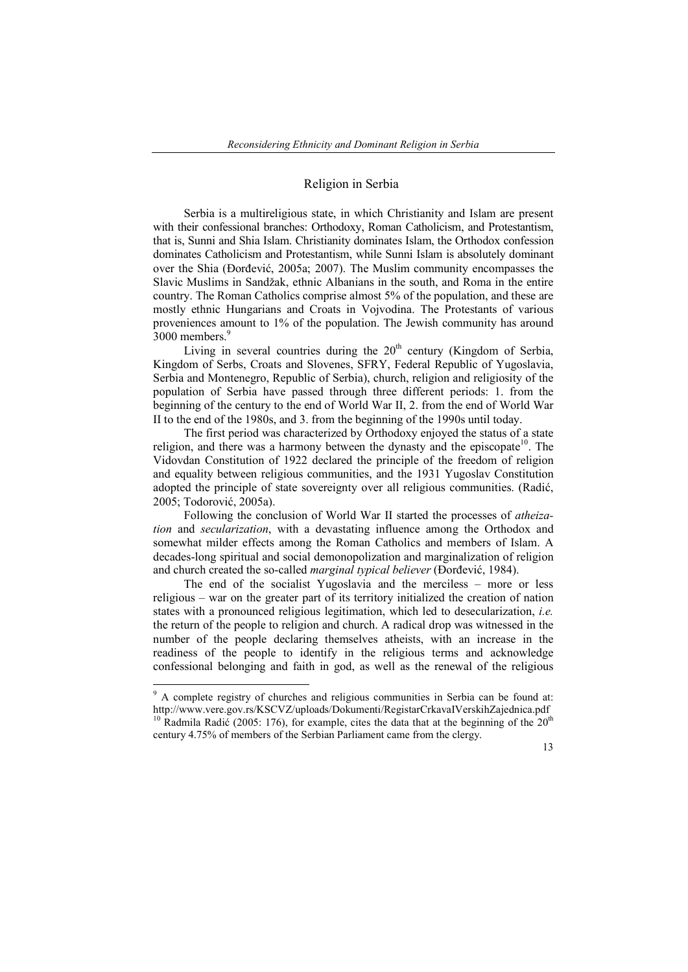## Religion in Serbia

Serbia is a multireligious state, in which Christianity and Islam are present with their confessional branches: Orthodoxy, Roman Catholicism, and Protestantism, that is, Sunni and Shia Islam. Christianity dominates Islam, the Orthodox confession dominates Catholicism and Protestantism, while Sunni Islam is absolutely dominant over the Shia (Đorđević, 2005a; 2007). The Muslim community encompasses the Slavic Muslims in Sandžak, ethnic Albanians in the south, and Roma in the entire country. The Roman Catholics comprise almost 5% of the population, and these are mostly ethnic Hungarians and Croats in Vojvodina. The Protestants of various proveniences amount to 1% of the population. The Jewish community has around 3000 members.<sup>9</sup>

Living in several countries during the  $20<sup>th</sup>$  century (Kingdom of Serbia, Kingdom of Serbs, Croats and Slovenes, SFRY, Federal Republic of Yugoslavia, Serbia and Montenegro, Republic of Serbia), church, religion and religiosity of the population of Serbia have passed through three different periods: 1. from the beginning of the century to the end of World War II, 2. from the end of World War II to the end of the 1980s, and 3. from the beginning of the 1990s until today.

The first period was characterized by Orthodoxy enjoyed the status of a state religion, and there was a harmony between the dynasty and the episcopate<sup>10</sup>. The Vidovdan Constitution of 1922 declared the principle of the freedom of religion and equality between religious communities, and the 1931 Yugoslav Constitution adopted the principle of state sovereignty over all religious communities. (Radić, 2005; Todorović, 2005a).

Following the conclusion of World War II started the processes of *atheization* and *secularization*, with a devastating influence among the Orthodox and somewhat milder effects among the Roman Catholics and members of Islam. A decades-long spiritual and social demonopolization and marginalization of religion and church created the so-called *marginal typical believer* (Đorđević, 1984).

The end of the socialist Yugoslavia and the merciless – more or less religious – war on the greater part of its territory initialized the creation of nation states with a pronounced religious legitimation, which led to desecularization, *i.e.* the return of the people to religion and church. A radical drop was witnessed in the number of the people declaring themselves atheists, with an increase in the readiness of the people to identify in the religious terms and acknowledge confessional belonging and faith in god, as well as the renewal of the religious

 <sup>9</sup> A complete registry of churches and religious communities in Serbia can be found at: http://www.vere.gov.rs/KSCVZ/uploads/Dokumenti/RegistarCrkavaIVerskihZajednica.pdf <sup>10</sup> Radmila Radić (2005: 176), for example, cites the data that at the beginning of the  $20<sup>th</sup>$ century 4.75% of members of the Serbian Parliament came from the clergy.

<sup>13</sup>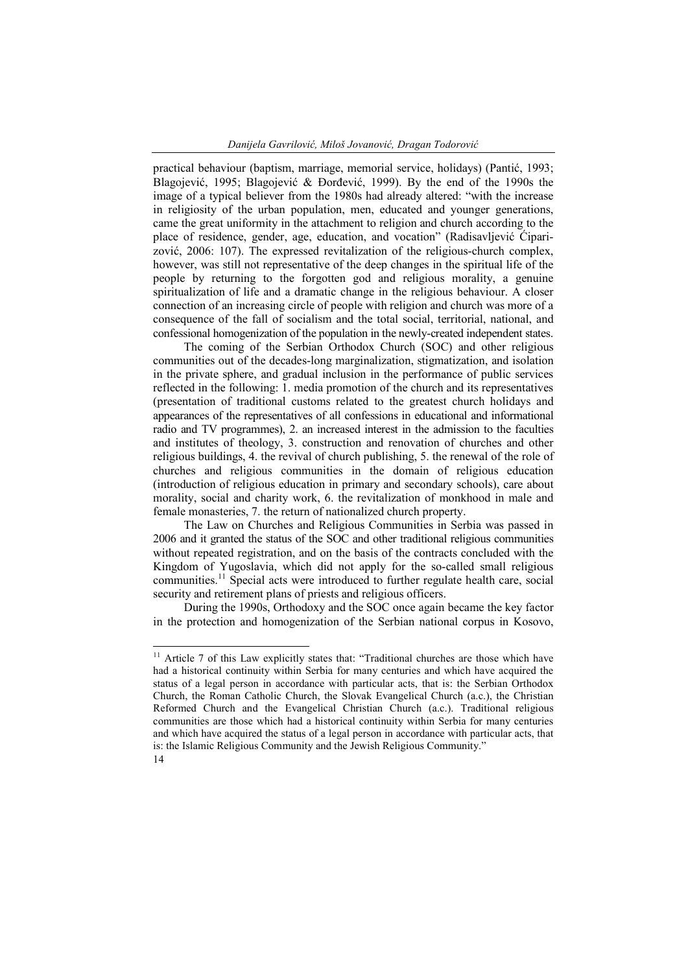practical behaviour (baptism, marriage, memorial service, holidays) (Pantić, 1993; Blagojević, 1995; Blagojević & Đorđević, 1999). By the end of the 1990s the image of a typical believer from the 1980s had already altered: "with the increase in religiosity of the urban population, men, educated and younger generations, came the great uniformity in the attachment to religion and church according to the place of residence, gender, age, education, and vocation" (Radisavljević Ćiparizović, 2006: 107). The expressed revitalization of the religious-church complex, however, was still not representative of the deep changes in the spiritual life of the people by returning to the forgotten god and religious morality, a genuine spiritualization of life and a dramatic change in the religious behaviour. A closer connection of an increasing circle of people with religion and church was more of a consequence of the fall of socialism and the total social, territorial, national, and confessional homogenization of the population in the newly-created independent states.

The coming of the Serbian Orthodox Church (SOC) and other religious communities out of the decades-long marginalization, stigmatization, and isolation in the private sphere, and gradual inclusion in the performance of public services reflected in the following: 1. media promotion of the church and its representatives (presentation of traditional customs related to the greatest church holidays and appearances of the representatives of all confessions in educational and informational radio and TV programmes), 2. an increased interest in the admission to the faculties and institutes of theology, 3. construction and renovation of churches and other religious buildings, 4. the revival of church publishing, 5. the renewal of the role of churches and religious communities in the domain of religious education (introduction of religious education in primary and secondary schools), care about morality, social and charity work, 6. the revitalization of monkhood in male and female monasteries, 7. the return of nationalized church property.

The Law on Churches and Religious Communities in Serbia was passed in 2006 and it granted the status of the SOC and other traditional religious communities without repeated registration, and on the basis of the contracts concluded with the Kingdom of Yugoslavia, which did not apply for the so-called small religious communities.<sup>11</sup> Special acts were introduced to further regulate health care, social security and retirement plans of priests and religious officers.

During the 1990s, Orthodoxy and the SOC once again became the key factor in the protection and homogenization of the Serbian national corpus in Kosovo,

<sup>14</sup> <sup>11</sup> Article 7 of this Law explicitly states that: "Traditional churches are those which have had a historical continuity within Serbia for many centuries and which have acquired the status of a legal person in accordance with particular acts, that is: the Serbian Orthodox Church, the Roman Catholic Church, the Slovak Evangelical Church (a.c.), the Christian Reformed Church and the Evangelical Christian Church (a.c.). Traditional religious communities are those which had a historical continuity within Serbia for many centuries and which have acquired the status of a legal person in accordance with particular acts, that is: the Islamic Religious Community and the Jewish Religious Community."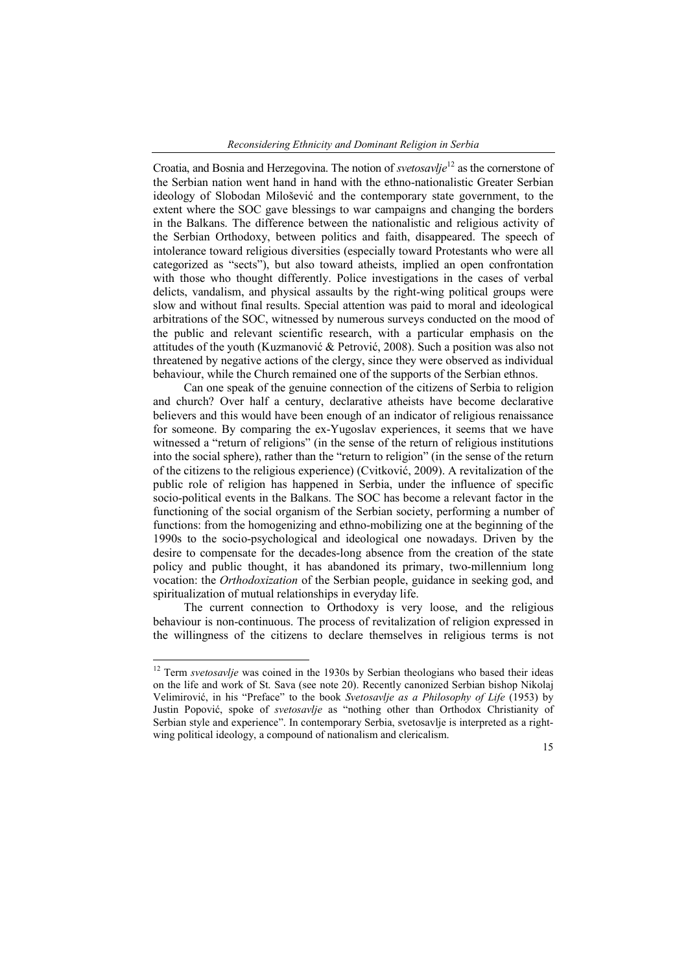Croatia, and Bosnia and Herzegovina. The notion of *svetosavlje*<sup>12</sup> as the cornerstone of the Serbian nation went hand in hand with the ethno-nationalistic Greater Serbian ideology of Slobodan Milošević and the contemporary state government, to the extent where the SOC gave blessings to war campaigns and changing the borders in the Balkans. The difference between the nationalistic and religious activity of the Serbian Orthodoxy, between politics and faith, disappeared. The speech of intolerance toward religious diversities (especially toward Protestants who were all categorized as "sects"), but also toward atheists, implied an open confrontation with those who thought differently. Police investigations in the cases of verbal delicts, vandalism, and physical assaults by the right-wing political groups were slow and without final results. Special attention was paid to moral and ideological arbitrations of the SOC, witnessed by numerous surveys conducted on the mood of the public and relevant scientific research, with a particular emphasis on the attitudes of the youth (Kuzmanović & Petrović, 2008). Such a position was also not threatened by negative actions of the clergy, since they were observed as individual behaviour, while the Church remained one of the supports of the Serbian ethnos.

Can one speak of the genuine connection of the citizens of Serbia to religion and church? Over half a century, declarative atheists have become declarative believers and this would have been enough of an indicator of religious renaissance for someone. By comparing the ex-Yugoslav experiences, it seems that we have witnessed a "return of religions" (in the sense of the return of religious institutions into the social sphere), rather than the "return to religion" (in the sense of the return of the citizens to the religious experience) (Cvitković, 2009). A revitalization of the public role of religion has happened in Serbia, under the influence of specific socio-political events in the Balkans. The SOC has become a relevant factor in the functioning of the social organism of the Serbian society, performing a number of functions: from the homogenizing and ethno-mobilizing one at the beginning of the 1990s to the socio-psychological and ideological one nowadays. Driven by the desire to compensate for the decades-long absence from the creation of the state policy and public thought, it has abandoned its primary, two-millennium long vocation: the *Orthodoxization* of the Serbian people, guidance in seeking god, and spiritualization of mutual relationships in everyday life.

The current connection to Orthodoxy is very loose, and the religious behaviour is non-continuous. The process of revitalization of religion expressed in the willingness of the citizens to declare themselves in religious terms is not

<sup>&</sup>lt;sup>12</sup> Term *svetosavlje* was coined in the 1930s by Serbian theologians who based their ideas on the life and work of St. Sava (see note 20). Recently canonized Serbian bishop Nikolaj Velimirović, in his "Preface" to the book *Svetosavlje as a Philosophy of Life* (1953) by Justin Popović, spoke of *svetosavlje* as "nothing other than Orthodox Christianity of Serbian style and experience". In contemporary Serbia, svetosavlje is interpreted as a rightwing political ideology, a compound of nationalism and clericalism.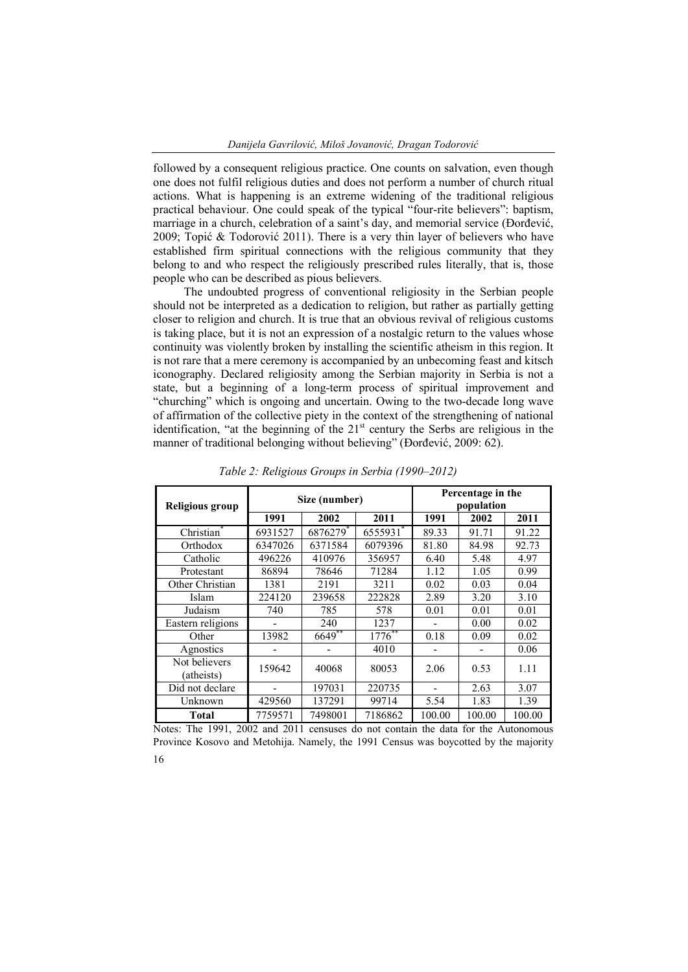followed by a consequent religious practice. One counts on salvation, even though one does not fulfil religious duties and does not perform a number of church ritual actions. What is happening is an extreme widening of the traditional religious practical behaviour. One could speak of the typical "four-rite believers": baptism, marriage in a church, celebration of a saint's day, and memorial service (Đorđević, 2009; Topić & Todorović 2011). There is a very thin layer of believers who have established firm spiritual connections with the religious community that they belong to and who respect the religiously prescribed rules literally, that is, those people who can be described as pious believers.

The undoubted progress of conventional religiosity in the Serbian people should not be interpreted as a dedication to religion, but rather as partially getting closer to religion and church. It is true that an obvious revival of religious customs is taking place, but it is not an expression of a nostalgic return to the values whose continuity was violently broken by installing the scientific atheism in this region. It is not rare that a mere ceremony is accompanied by an unbecoming feast and kitsch iconography. Declared religiosity among the Serbian majority in Serbia is not a state, but a beginning of a long-term process of spiritual improvement and "churching" which is ongoing and uncertain. Owing to the two-decade long wave of affirmation of the collective piety in the context of the strengthening of national identification, "at the beginning of the  $21<sup>st</sup>$  century the Serbs are religious in the manner of traditional belonging without believing" (Đorđević, 2009: 62).

| <b>Religious group</b>      | Size (number) |          |           | Percentage in the<br>population |        |        |  |
|-----------------------------|---------------|----------|-----------|---------------------------------|--------|--------|--|
|                             | 1991          | 2002     | 2011      | 1991                            | 2002   | 2011   |  |
| Christian                   | 6931527       | 6876279* | 6555931*  | 89.33                           | 91.71  | 91.22  |  |
| Orthodox                    | 6347026       | 6371584  | 6079396   | 81.80                           | 84.98  | 92.73  |  |
| Catholic                    | 496226        | 410976   | 356957    | 6.40                            | 5.48   | 4.97   |  |
| Protestant                  | 86894         | 78646    | 71284     | 1.12                            | 1.05   | 0.99   |  |
| Other Christian             | 1381          | 2191     | 3211      | 0.02                            | 0.03   | 0.04   |  |
| Islam                       | 224120        | 239658   | 222828    | 2.89                            | 3.20   | 3.10   |  |
| Judaism                     | 740           | 785      | 578       | 0.01                            | 0.01   | 0.01   |  |
| Eastern religions           |               | 240      | 1237      |                                 | 0.00   | 0.02   |  |
| Other                       | 13982         | $6649**$ | $1776$ ** | 0.18                            | 0.09   | 0.02   |  |
| Agnostics                   |               |          | 4010      |                                 |        | 0.06   |  |
| Not believers<br>(atheists) | 159642        | 40068    | 80053     | 2.06                            | 0.53   | 1.11   |  |
| Did not declare             |               | 197031   | 220735    |                                 | 2.63   | 3.07   |  |
|                             |               | 137291   |           |                                 |        |        |  |
| Unknown                     | 429560        |          | 99714     | 5.54                            | 1.83   | 1.39   |  |
| <b>Total</b>                | 7759571       | 7498001  | 7186862   | 100.00                          | 100.00 | 100.00 |  |

*Table 2: Religious Groups in Serbia (1990–2012)*

Notes: The 1991, 2002 and 2011 censuses do not contain the data for the Autonomous Province Kosovo and Metohija. Namely, the 1991 Census was boycotted by the majority

16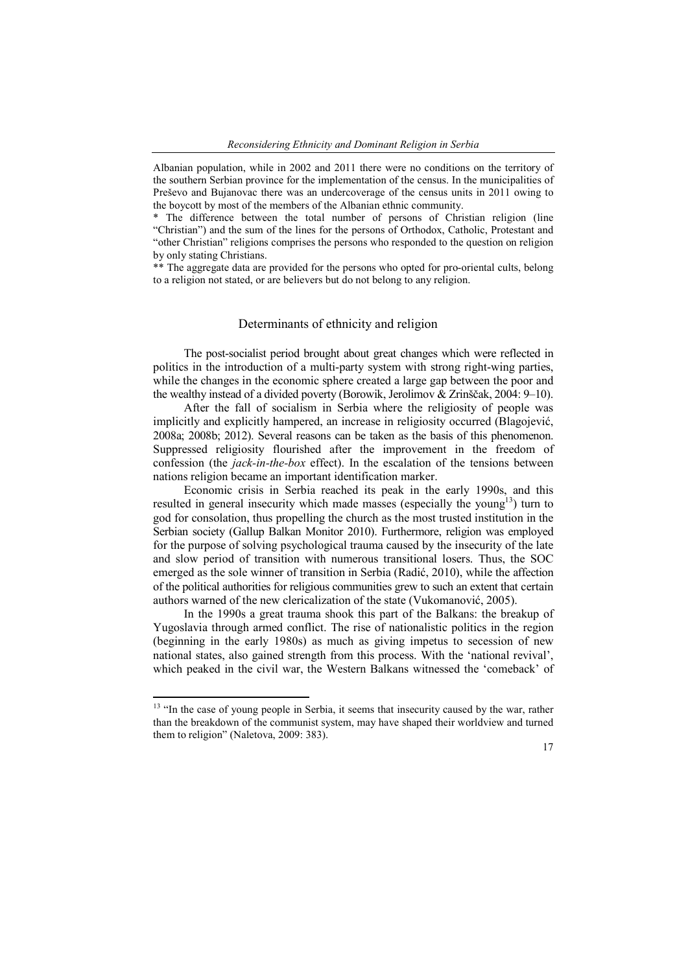Albanian population, while in 2002 and 2011 there were no conditions on the territory of the southern Serbian province for the implementation of the census. In the municipalities of Preševo and Bujanovac there was an undercoverage of the census units in 2011 owing to the boycott by most of the members of the Albanian ethnic community.

\* The difference between the total number of persons of Christian religion (line "Christian") and the sum of the lines for the persons of Orthodox, Catholic, Protestant and "other Christian" religions comprises the persons who responded to the question on religion by only stating Christians.

\*\* The aggregate data are provided for the persons who opted for pro-oriental cults, belong to a religion not stated, or are believers but do not belong to any religion.

## Determinants of ethnicity and religion

The post-socialist period brought about great changes which were reflected in politics in the introduction of a multi-party system with strong right-wing parties, while the changes in the economic sphere created a large gap between the poor and the wealthy instead of a divided poverty (Borowik, Jerolimov & Zrinščak, 2004: 9–10).

After the fall of socialism in Serbia where the religiosity of people was implicitly and explicitly hampered, an increase in religiosity occurred (Blagojević, 2008a; 2008b; 2012). Several reasons can be taken as the basis of this phenomenon. Suppressed religiosity flourished after the improvement in the freedom of confession (the *jack-in-the-box* effect). In the escalation of the tensions between nations religion became an important identification marker.

Economic crisis in Serbia reached its peak in the early 1990s, and this resulted in general insecurity which made masses (especially the young<sup>13</sup>) turn to god for consolation, thus propelling the church as the most trusted institution in the Serbian society (Gallup Balkan Monitor 2010). Furthermore, religion was employed for the purpose of solving psychological trauma caused by the insecurity of the late and slow period of transition with numerous transitional losers. Thus, the SOC emerged as the sole winner of transition in Serbia (Radić, 2010), while the affection of the political authorities for religious communities grew to such an extent that certain authors warned of the new clericalization of the state (Vukomanović, 2005).

In the 1990s a great trauma shook this part of the Balkans: the breakup of Yugoslavia through armed conflict. The rise of nationalistic politics in the region (beginning in the early 1980s) as much as giving impetus to secession of new national states, also gained strength from this process. With the 'national revival', which peaked in the civil war, the Western Balkans witnessed the 'comeback' of

<sup>&</sup>lt;sup>13</sup> "In the case of young people in Serbia, it seems that insecurity caused by the war, rather than the breakdown of the communist system, may have shaped their worldview and turned them to religion" (Naletova, 2009: 383).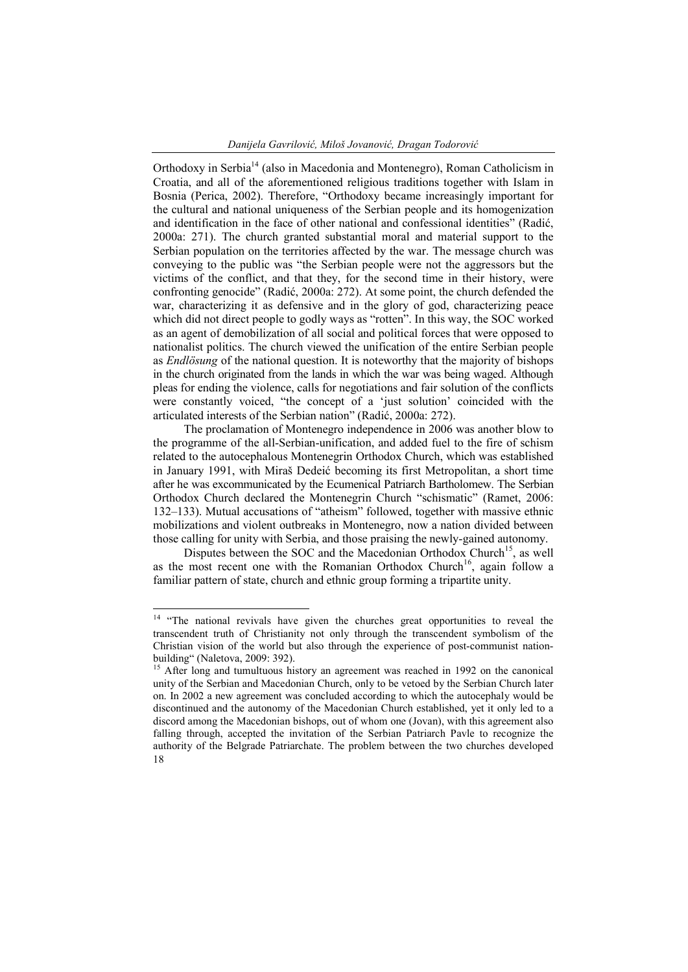Orthodoxy in Serbia<sup>14</sup> (also in Macedonia and Montenegro), Roman Catholicism in Croatia, and all of the aforementioned religious traditions together with Islam in Bosnia (Perica, 2002). Therefore, "Orthodoxy became increasingly important for the cultural and national uniqueness of the Serbian people and its homogenization and identification in the face of other national and confessional identities" (Radić, 2000a: 271). The church granted substantial moral and material support to the Serbian population on the territories affected by the war. The message church was conveying to the public was "the Serbian people were not the aggressors but the victims of the conflict, and that they, for the second time in their history, were confronting genocide" (Radić, 2000a: 272). At some point, the church defended the war, characterizing it as defensive and in the glory of god, characterizing peace which did not direct people to godly ways as "rotten". In this way, the SOC worked as an agent of demobilization of all social and political forces that were opposed to nationalist politics. The church viewed the unification of the entire Serbian people as *Endlösung* of the national question. It is noteworthy that the majority of bishops in the church originated from the lands in which the war was being waged. Although pleas for ending the violence, calls for negotiations and fair solution of the conflicts were constantly voiced, "the concept of a 'just solution' coincided with the articulated interests of the Serbian nation" (Radić, 2000a: 272).

The proclamation of Montenegro independence in 2006 was another blow to the programme of the all-Serbian-unification, and added fuel to the fire of schism related to the autocephalous Montenegrin Orthodox Church, which was established in January 1991, with Miraš Dedeić becoming its first Metropolitan, a short time after he was excommunicated by the Ecumenical Patriarch Bartholomew. The Serbian Orthodox Church declared the Montenegrin Church "schismatic" (Ramet, 2006: 132–133). Mutual accusations of "atheism" followed, together with massive ethnic mobilizations and violent outbreaks in Montenegro, now a nation divided between those calling for unity with Serbia, and those praising the newly-gained autonomy.

Disputes between the SOC and the Macedonian Orthodox Church<sup>15</sup>, as well as the most recent one with the Romanian Orthodox Church<sup>16</sup>, again follow a familiar pattern of state, church and ethnic group forming a tripartite unity.

<sup>&</sup>lt;sup>14</sup> "The national revivals have given the churches great opportunities to reveal the transcendent truth of Christianity not only through the transcendent symbolism of the Christian vision of the world but also through the experience of post-communist nationbuilding" (Naletova, 2009: 392).

<sup>18</sup> <sup>15</sup> After long and tumultuous history an agreement was reached in 1992 on the canonical unity of the Serbian and Macedonian Church, only to be vetoed by the Serbian Church later on. In 2002 a new agreement was concluded according to which the autocephaly would be discontinued and the autonomy of the Macedonian Church established, yet it only led to a discord among the Macedonian bishops, out of whom one (Jovan), with this agreement also falling through, accepted the invitation of the Serbian Patriarch Pavle to recognize the authority of the Belgrade Patriarchate. The problem between the two churches developed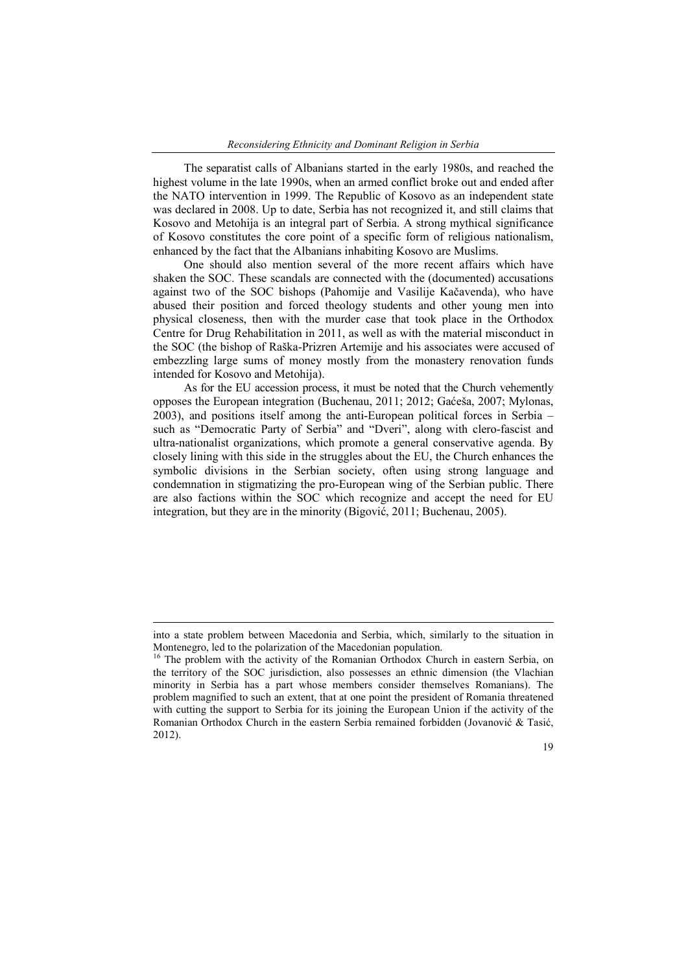The separatist calls of Albanians started in the early 1980s, and reached the highest volume in the late 1990s, when an armed conflict broke out and ended after the NATO intervention in 1999. The Republic of Kosovo as an independent state was declared in 2008. Up to date, Serbia has not recognized it, and still claims that Kosovo and Metohija is an integral part of Serbia. A strong mythical significance of Kosovo constitutes the core point of a specific form of religious nationalism, enhanced by the fact that the Albanians inhabiting Kosovo are Muslims.

One should also mention several of the more recent affairs which have shaken the SOC. These scandals are connected with the (documented) accusations against two of the SOC bishops (Pahomije and Vasilije Kačavenda), who have abused their position and forced theology students and other young men into physical closeness, then with the murder case that took place in the Orthodox Centre for Drug Rehabilitation in 2011, as well as with the material misconduct in the SOC (the bishop of Raška-Prizren Artemije and his associates were accused of embezzling large sums of money mostly from the monastery renovation funds intended for Kosovo and Metohija).

As for the EU accession process, it must be noted that the Church vehemently opposes the European integration (Buchenau, 2011; 2012; Gaćeša, 2007; Mylonas, 2003), and positions itself among the anti-European political forces in Serbia – such as "Democratic Party of Serbia" and "Dveri", along with clero-fascist and ultra-nationalist organizations, which promote a general conservative agenda. By closely lining with this side in the struggles about the EU, the Church enhances the symbolic divisions in the Serbian society, often using strong language and condemnation in stigmatizing the pro-European wing of the Serbian public. There are also factions within the SOC which recognize and accept the need for EU integration, but they are in the minority (Bigović, 2011; Buchenau, 2005).

 $\ddot{\phantom{a}}$ 

into a state problem between Macedonia and Serbia, which, similarly to the situation in Montenegro, led to the polarization of the Macedonian population.<br><sup>16</sup> The problem with the activity of the Romanian Orthodox Church in eastern Serbia, on

the territory of the SOC jurisdiction, also possesses an ethnic dimension (the Vlachian minority in Serbia has a part whose members consider themselves Romanians). The problem magnified to such an extent, that at one point the president of Romania threatened with cutting the support to Serbia for its joining the European Union if the activity of the Romanian Orthodox Church in the eastern Serbia remained forbidden (Jovanović & Tasić, 2012).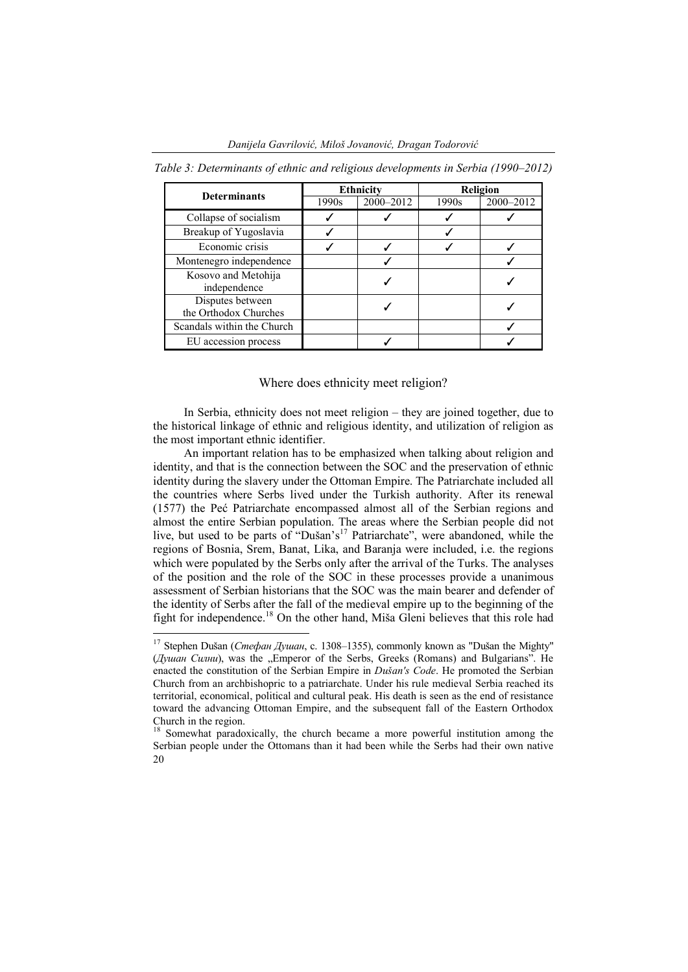| <b>Determinants</b>                       | <b>Ethnicity</b> |           | <b>Religion</b> |           |
|-------------------------------------------|------------------|-----------|-----------------|-----------|
|                                           | 1990s            | 2000-2012 | 1990s           | 2000-2012 |
| Collapse of socialism                     |                  |           |                 |           |
| Breakup of Yugoslavia                     |                  |           |                 |           |
| Economic crisis                           |                  |           |                 |           |
| Montenegro independence                   |                  |           |                 |           |
| Kosovo and Metohija<br>independence       |                  |           |                 |           |
| Disputes between<br>the Orthodox Churches |                  |           |                 |           |
| Scandals within the Church                |                  |           |                 |           |
| EU accession process                      |                  |           |                 |           |

*Table 3: Determinants of ethnic and religious developments in Serbia (1990–2012)*

#### Where does ethnicity meet religion?

In Serbia, ethnicity does not meet religion – they are joined together, due to the historical linkage of ethnic and religious identity, and utilization of religion as the most important ethnic identifier.

An important relation has to be emphasized when talking about religion and identity, and that is the connection between the SOC and the preservation of ethnic identity during the slavery under the Ottoman Empire. The Patriarchate included all the countries where Serbs lived under the Turkish authority. After its renewal (1577) the Peć Patriarchate encompassed almost all of the Serbian regions and almost the entire Serbian population. The areas where the Serbian people did not live, but used to be parts of "Dušan's<sup>17</sup> Patriarchate", were abandoned, while the regions of Bosnia, Srem, Banat, Lika, and Baranja were included, i.e. the regions which were populated by the Serbs only after the arrival of the Turks. The analyses of the position and the role of the SOC in these processes provide a unanimous assessment of Serbian historians that the SOC was the main bearer and defender of the identity of Serbs after the fall of the medieval empire up to the beginning of the fight for independence.<sup>18</sup> On the other hand, Miša Gleni believes that this role had

 <sup>17</sup> Stephen Dušan (*Стефан Душан*, c. 1308–1355), commonly known as "Dušan the Mighty" (*Душан Силни*), was the "Emperor of the Serbs, Greeks (Romans) and Bulgarians". He enacted the constitution of the Serbian Empire in *Dušan's Code*. He promoted the Serbian Church from an archbishopric to a patriarchate. Under his rule medieval Serbia reached its territorial, economical, political and cultural peak. His death is seen as the end of resistance toward the advancing Ottoman Empire, and the subsequent fall of the Eastern Orthodox Church in the region.

<sup>20</sup> <sup>18</sup> Somewhat paradoxically, the church became a more powerful institution among the Serbian people under the Ottomans than it had been while the Serbs had their own native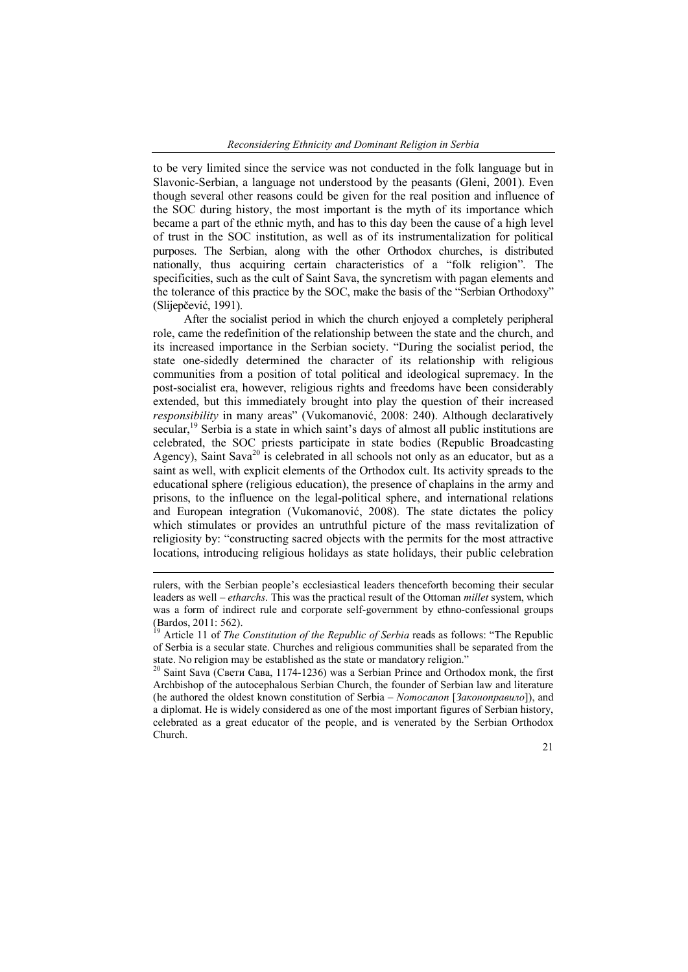to be very limited since the service was not conducted in the folk language but in Slavonic-Serbian, a language not understood by the peasants (Gleni, 2001). Even though several other reasons could be given for the real position and influence of the SOC during history, the most important is the myth of its importance which became a part of the ethnic myth, and has to this day been the cause of a high level of trust in the SOC institution, as well as of its instrumentalization for political purposes. The Serbian, along with the other Orthodox churches, is distributed nationally, thus acquiring certain characteristics of a "folk religion". The specificities, such as the cult of Saint Sava, the syncretism with pagan elements and the tolerance of this practice by the SOC, make the basis of the "Serbian Orthodoxy" (Slijepčević, 1991).

After the socialist period in which the church enjoyed a completely peripheral role, came the redefinition of the relationship between the state and the church, and its increased importance in the Serbian society. "During the socialist period, the state one-sidedly determined the character of its relationship with religious communities from a position of total political and ideological supremacy. In the post-socialist era, however, religious rights and freedoms have been considerably extended, but this immediately brought into play the question of their increased *responsibility* in many areas" (Vukomanović, 2008: 240). Although declaratively secular, $19$  Serbia is a state in which saint's days of almost all public institutions are celebrated, the SOC priests participate in state bodies (Republic Broadcasting Agency), Saint Sava<sup>20</sup> is celebrated in all schools not only as an educator, but as a saint as well, with explicit elements of the Orthodox cult. Its activity spreads to the educational sphere (religious education), the presence of chaplains in the army and prisons, to the influence on the legal-political sphere, and international relations and European integration (Vukomanović, 2008). The state dictates the policy which stimulates or provides an untruthful picture of the mass revitalization of religiosity by: "constructing sacred objects with the permits for the most attractive locations, introducing religious holidays as state holidays, their public celebration

 $\ddot{\phantom{a}}$ 

rulers, with the Serbian people's ecclesiastical leaders thenceforth becoming their secular leaders as well – *etharchs*. This was the practical result of the Ottoman *millet* system, which was a form of indirect rule and corporate self-government by ethno-confessional groups (Bardos, 2011: 562).

<sup>&</sup>lt;sup>19</sup> Article 11 of *The Constitution of the Republic of Serbia* reads as follows: "The Republic of Serbia is a secular state. Churches and religious communities shall be separated from the state. No religion may be established as the state or mandatory religion."

<sup>&</sup>lt;sup>20</sup> Saint Sava (Свети Сава, 1174-1236) was a Serbian Prince and Orthodox monk, the first Archbishop of the autocephalous Serbian Church, the founder of Serbian law and literature (he authored the oldest known constitution of Serbia – *Nomocanon* [*Законоправило*]), and a diplomat. He is widely considered as one of the most important figures of Serbian history, celebrated as a great educator of the people, and is venerated by the Serbian Orthodox Church.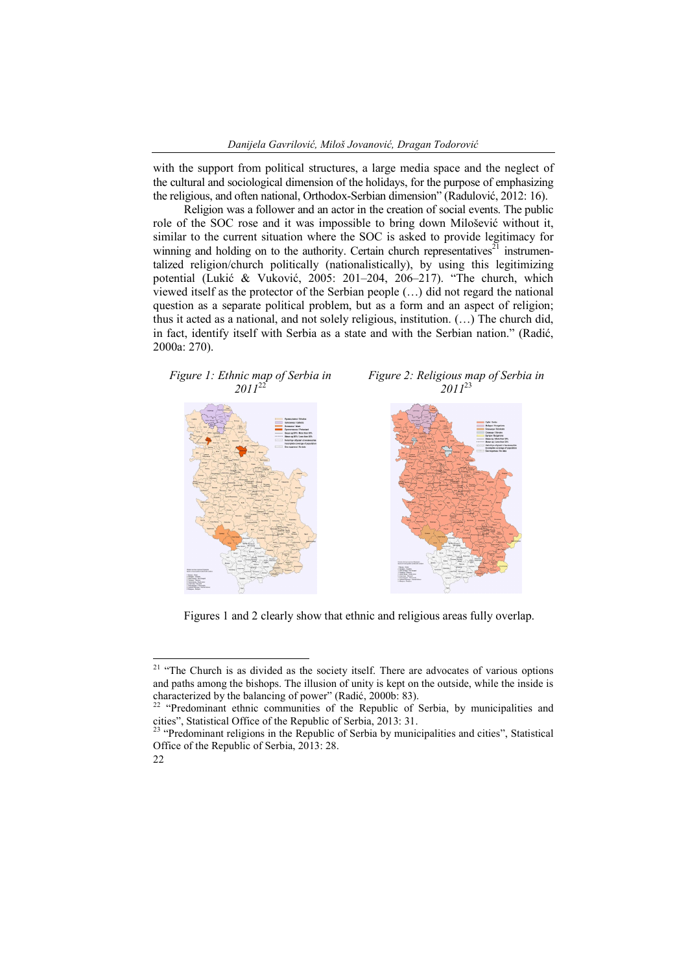with the support from political structures, a large media space and the neglect of the cultural and sociological dimension of the holidays, for the purpose of emphasizing the religious, and often national, Orthodox-Serbian dimension" (Radulović, 2012: 16).

Religion was a follower and an actor in the creation of social events. The public role of the SOC rose and it was impossible to bring down Milošević without it, similar to the current situation where the SOC is asked to provide legitimacy for winning and holding on to the authority. Certain church representatives<sup> $21$ </sup> instrumentalized religion/church politically (nationalistically), by using this legitimizing potential (Lukić & Vuković, 2005: 201–204, 206–217). "The church, which viewed itself as the protector of the Serbian people (…) did not regard the national question as a separate political problem, but as a form and an aspect of religion; thus it acted as a national, and not solely religious, institution. (…) The church did, in fact, identify itself with Serbia as a state and with the Serbian nation." (Radić, 2000a: 270).



Figures 1 and 2 clearly show that ethnic and religious areas fully overlap.

Office of the Republic of Serbia, 2013: 28.



<sup>&</sup>lt;sup>21</sup> "The Church is as divided as the society itself. There are advocates of various options and paths among the bishops. The illusion of unity is kept on the outside, while the inside is characterized by the balancing of power" (Radić, 2000b: 83).

<sup>&</sup>lt;sup>22</sup> "Predominant ethnic communities of the Republic of Serbia, by municipalities and cities", Statistical Office of the Republic of Serbia, 2013: 31. <sup>23</sup> "Predominant religions in the Republic of Serbia by municipalities and cities", Statistical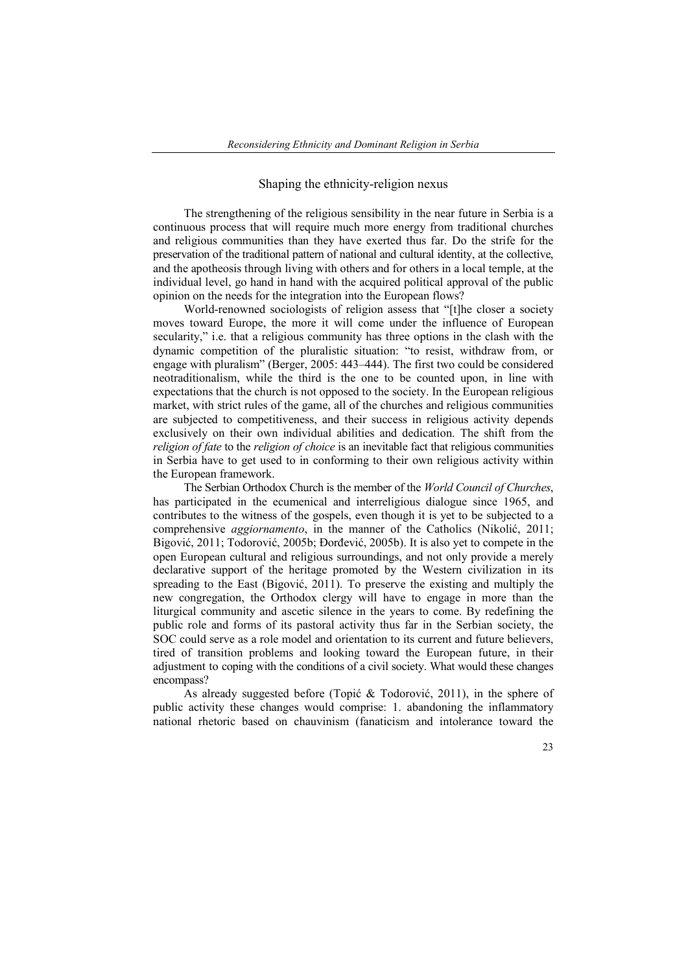## Shaping the ethnicity-religion nexus

The strengthening of the religious sensibility in the near future in Serbia is a continuous process that will require much more energy from traditional churches and religious communities than they have exerted thus far. Do the strife for the preservation of the traditional pattern of national and cultural identity, at the collective, and the apotheosis through living with others and for others in a local temple, at the individual level, go hand in hand with the acquired political approval of the public opinion on the needs for the integration into the European flows?

World-renowned sociologists of religion assess that "[t]he closer a society moves toward Europe, the more it will come under the influence of European secularity," i.e. that a religious community has three options in the clash with the dynamic competition of the pluralistic situation: "to resist, withdraw from, or engage with pluralism" (Berger, 2005: 443–444). The first two could be considered neotraditionalism, while the third is the one to be counted upon, in line with expectations that the church is not opposed to the society. In the European religious market, with strict rules of the game, all of the churches and religious communities are subjected to competitiveness, and their success in religious activity depends exclusively on their own individual abilities and dedication. The shift from the *religion of fate* to the *religion of choice* is an inevitable fact that religious communities in Serbia have to get used to in conforming to their own religious activity within the European framework.

The Serbian Orthodox Church is the member of the *World Council of Churches*, has participated in the ecumenical and interreligious dialogue since 1965, and contributes to the witness of the gospels, even though it is yet to be subjected to a comprehensive *aggiornamento*, in the manner of the Catholics (Nikolić, 2011; Bigović, 2011; Todorović, 2005b; Đorđević, 2005b). It is also yet to compete in the open European cultural and religious surroundings, and not only provide a merely declarative support of the heritage promoted by the Western civilization in its spreading to the East (Bigović, 2011). To preserve the existing and multiply the new congregation, the Orthodox clergy will have to engage in more than the liturgical community and ascetic silence in the years to come. By redefining the public role and forms of its pastoral activity thus far in the Serbian society, the SOC could serve as a role model and orientation to its current and future believers, tired of transition problems and looking toward the European future, in their adjustment to coping with the conditions of a civil society. What would these changes encompass?

As already suggested before (Topić & Todorović, 2011), in the sphere of public activity these changes would comprise: 1. abandoning the inflammatory national rhetoric based on chauvinism (fanaticism and intolerance toward the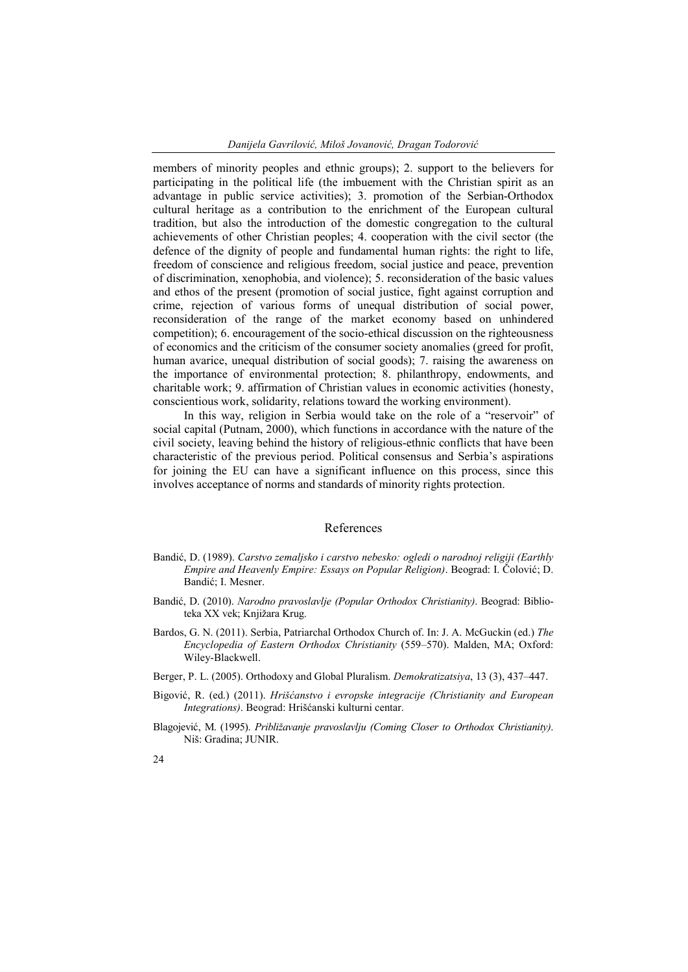members of minority peoples and ethnic groups); 2. support to the believers for participating in the political life (the imbuement with the Christian spirit as an advantage in public service activities); 3. promotion of the Serbian-Orthodox cultural heritage as a contribution to the enrichment of the European cultural tradition, but also the introduction of the domestic congregation to the cultural achievements of other Christian peoples; 4. cooperation with the civil sector (the defence of the dignity of people and fundamental human rights: the right to life, freedom of conscience and religious freedom, social justice and peace, prevention of discrimination, xenophobia, and violence); 5. reconsideration of the basic values and ethos of the present (promotion of social justice, fight against corruption and crime, rejection of various forms of unequal distribution of social power, reconsideration of the range of the market economy based on unhindered competition); 6. encouragement of the socio-ethical discussion on the righteousness of economics and the criticism of the consumer society anomalies (greed for profit, human avarice, unequal distribution of social goods); 7. raising the awareness on the importance of environmental protection; 8. philanthropy, endowments, and charitable work; 9. affirmation of Christian values in economic activities (honesty, conscientious work, solidarity, relations toward the working environment).

In this way, religion in Serbia would take on the role of a "reservoir" of social capital (Putnam, 2000), which functions in accordance with the nature of the civil society, leaving behind the history of religious-ethnic conflicts that have been characteristic of the previous period. Political consensus and Serbia's aspirations for joining the EU can have a significant influence on this process, since this involves acceptance of norms and standards of minority rights protection.

## References

- Bandić, D. (1989). *Carstvo zemaljsko i carstvo nebesko: ogledi o narodnoj religiji (Earthly Empire and Heavenly Empire: Essays on Popular Religion)*. Beograd: I. Čolović; D. Bandić; I. Mesner.
- Bandić, D. (2010). *Narodno pravoslavlje (Popular Orthodox Christianity)*. Beograd: Biblioteka XX vek; Knjižara Krug.
- Bardos, G. N. (2011). Serbia, Patriarchal Orthodox Church of. In: J. A. McGuckin (ed.) *The Encyclopedia of Eastern Orthodox Christianity* (559–570). Malden, MA; Oxford: Wiley-Blackwell.
- Berger, P. L. (2005). Orthodoxy and Global Pluralism. *Demokratizatsiya*, 13 (3), 437–447.
- Bigović, R. (ed.) (2011). *Hrišćanstvo i evropske integracije (Christianity and European Integrations)*. Beograd: Hrišćanski kulturni centar.
- Blagojević, M. (1995). *Približavanje pravoslavlju (Coming Closer to Orthodox Christianity)*. Niš: Gradina; JUNIR.
- 24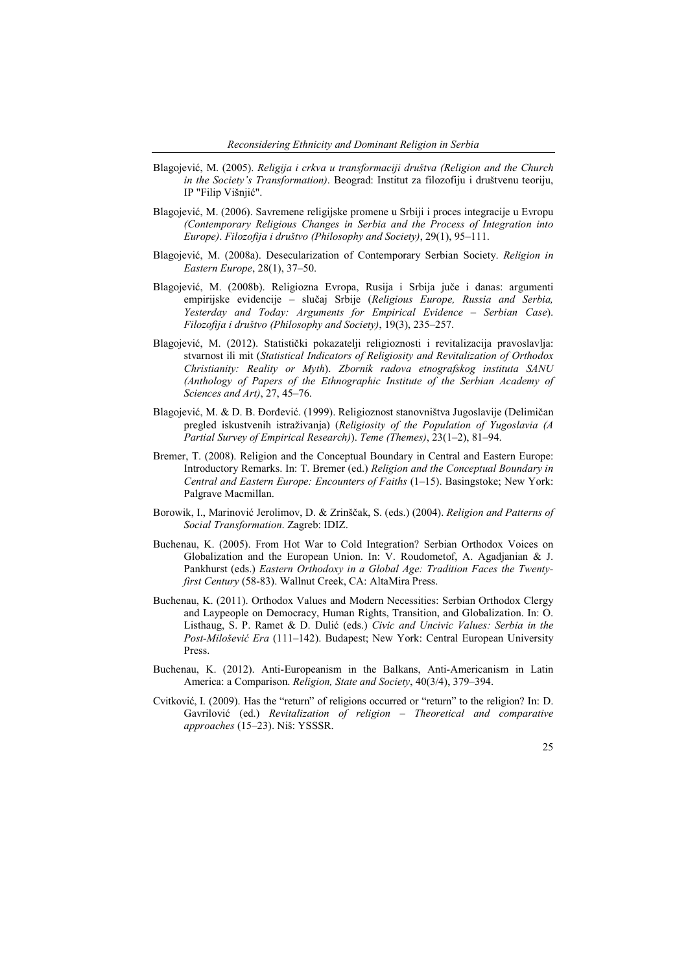- Blagojević, M. (2005). *Religija i crkva u transformaciji društva (Religion and the Church in the Society's Transformation)*. Beograd: Institut za filozofiju i društvenu teoriju, IP "Filip Višnjić".
- Blagojević, M. (2006). Savremene religijske promene u Srbiji i proces integracije u Evropu *(Contemporary Religious Changes in Serbia and the Process of Integration into Europe)*. *Filozofija i društvo (Philosophy and Society)*, 29(1), 95–111.
- Blagojević, M. (2008a). Desecularization of Contemporary Serbian Society. *Religion in Eastern Europe*, 28(1), 37–50.
- Blagojević, M. (2008b). Religiozna Evropa, Rusija i Srbija juče i danas: argumenti empirijske evidencije – slučaj Srbije (*Religious Europe, Russia and Serbia, Yesterday and Today: Arguments for Empirical Evidence – Serbian Case*). *Filozofija i društvo (Philosophy and Society)*, 19(3), 235–257.
- Blagojević, M. (2012). Stаtistički pоkаzаtеlјi rеligiоznоsti i rеvitаlizаciја prаvоslаvlја: stvаrnоst ili mit (*Statistical Indicators of Religiosity and Revitalization of Orthodox Christianity: Reality or Myth*). *Zbоrnik rаdоvа еtnоgrаfskоg institutа SАNU (Anthology of Papers of the Ethnographic Institute of the Serbian Academy of Sciences and Art)*, 27, 45–76.
- Blagojević, M. & D. B. Đorđević. (1999). Religioznost stanovništva Jugoslavije (Delimičan pregled iskustvenih istraživanja) (*Religiosity of the Population of Yugoslavia (A Partial Survey of Empirical Research)*). *Teme (Themes)*, 23(1–2), 81–94.
- Bremer, T. (2008). Religion and the Conceptual Boundary in Central and Eastern Europe: Introductory Remarks. In: T. Bremer (ed.) *Religion and the Conceptual Boundary in Central and Eastern Europe: Encounters of Faiths* (1–15). Basingstoke; New York: Palgrave Macmillan.
- Borowik, I., Marinović Jerolimov, D. & Zrinščak, S. (eds.) (2004). *Religion and Patterns of Social Transformation*. Zagreb: IDIZ.
- Buchenau, K. (2005). From Hot War to Cold Integration? Serbian Orthodox Voices on Globalization and the European Union. In: V. Roudometof, A. Agadjanian & J. Pankhurst (eds.) *Eastern Orthodoxy in a Global Age: Tradition Faces the Twentyfirst Century* (58-83). Wallnut Creek, CA: AltaMira Press.
- Buchenau, K. (2011). Orthodox Values and Modern Necessities: Serbian Orthodox Clergy and Laypeople on Democracy, Human Rights, Transition, and Globalization. In: O. Listhaug, S. P. Ramet & D. Dulić (eds.) *Civic and Uncivic Values: Serbia in the Post-Milošević Era* (111–142). Budapest; New York: Central European University Press.
- Buchenau, K. (2012). Anti-Europeanism in the Balkans, Anti-Americanism in Latin America: a Comparison. *Religion, State and Society*, 40(3/4), 379–394.
- Cvitković, I. (2009). Has the "return" of religions occurred or "return" to the religion? In: D. Gavrilović (ed.) *Revitalization of religion – Theoretical and comparative approaches* (15–23). Niš: YSSSR.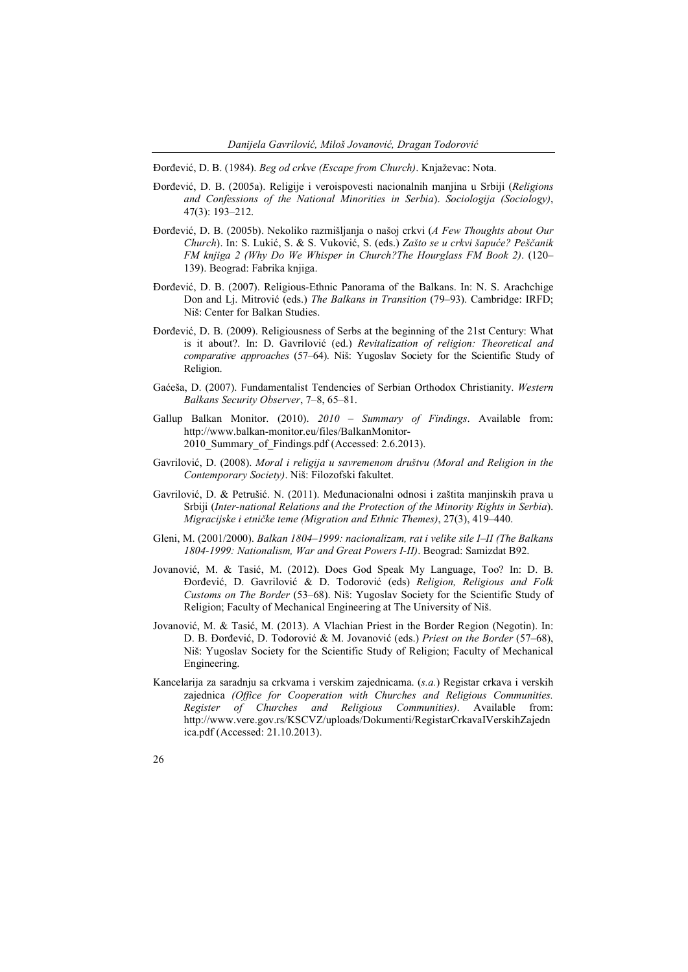Đorđević, D. B. (1984). *Beg od crkve (Escape from Church)*. Knjaževac: Nota.

- Đorđević, D. B. (2005a). Religije i veroispovesti nacionalnih manjina u Srbiji (*Religions and Confessions of the National Minorities in Serbia*). *Sociologija (Sociology)*, 47(3): 193–212.
- Đorđević, D. B. (2005b). Nekoliko razmišljanja o našoj crkvi (*A Few Thoughts about Our Church*). In: S. Lukić, S. & S. Vuković, S. (eds.) *Zašto se u crkvi šapuće? Peščanik FM knjiga 2 (Why Do We Whisper in Church?The Hourglass FM Book 2)*. (120– 139). Beograd: Fabrika knjiga.
- Đorđević, D. B. (2007). Religious-Ethnic Panorama of the Balkans. In: N. S. Arachchige Don and Lj. Mitrović (eds.) *The Balkans in Transition* (79–93). Cambridge: IRFD; Niš: Center for Balkan Studies.
- Đorđević, D. B. (2009). Religiousness of Serbs at the beginning of the 21st Century: What is it about?. In: D. Gavrilović (ed.) *Revitalization of religion: Theoretical and comparative approaches* (57–64). Niš: Yugoslav Society for the Scientific Study of Religion.
- Gaćeša, D. (2007). Fundamentalist Tendencies of Serbian Orthodox Christianity. *Western Balkans Security Observer*, 7–8, 65–81.
- Gallup Balkan Monitor. (2010). *2010 – Summary of Findings*. Available from: http://www.balkan-monitor.eu/files/BalkanMonitor-2010 Summary of Findings.pdf (Accessed: 2.6.2013).
- Gavrilović, D. (2008). *Moral i religija u savremenom društvu (Moral and Religion in the Contemporary Society)*. Niš: Filozofski fakultet.
- Gavrilović, D. & Petrušić. N. (2011). Međunacionalni odnosi i zaštita manjinskih prava u Srbiji (*Inter-national Relations and the Protection of the Minority Rights in Serbia*). *Migracijske i etničke teme (Migration and Ethnic Themes)*, 27(3), 419–440.
- Gleni, M. (2001/2000). *Balkan 1804–1999: nacionalizam, rat i velike sile I–II (The Balkans 1804-1999: Nationalism, War and Great Powers I-II)*. Beograd: Samizdat B92.
- Jovanović, M. & Tasić, M. (2012). Does God Speak My Language, Too? In: D. B. Đorđević, D. Gavrilović & D. Todorović (eds) *Religion, Religious and Folk Customs on The Border* (53–68). Niš: Yugoslav Society for the Scientific Study of Religion; Faculty of Mechanical Engineering at The University of Niš.
- Jovanović, M. & Tasić, M. (2013). A Vlachian Priest in the Border Region (Negotin). In: D. B. Đorđević, D. Todorović & M. Jovanović (eds.) *Priest on the Border* (57–68), Niš: Yugoslav Society for the Scientific Study of Religion; Faculty of Mechanical Engineering.
- Kancelarija za saradnju sa crkvama i verskim zajednicama. (*s.a.*) Registar crkava i verskih zajednica *(Office for Cooperation with Churches and Religious Communities. Register of Churches and Religious Communities)*. Available from: http://www.vere.gov.rs/KSCVZ/uploads/Dokumenti/RegistarCrkavaIVerskihZajedn ica.pdf (Accessed: 21.10.2013).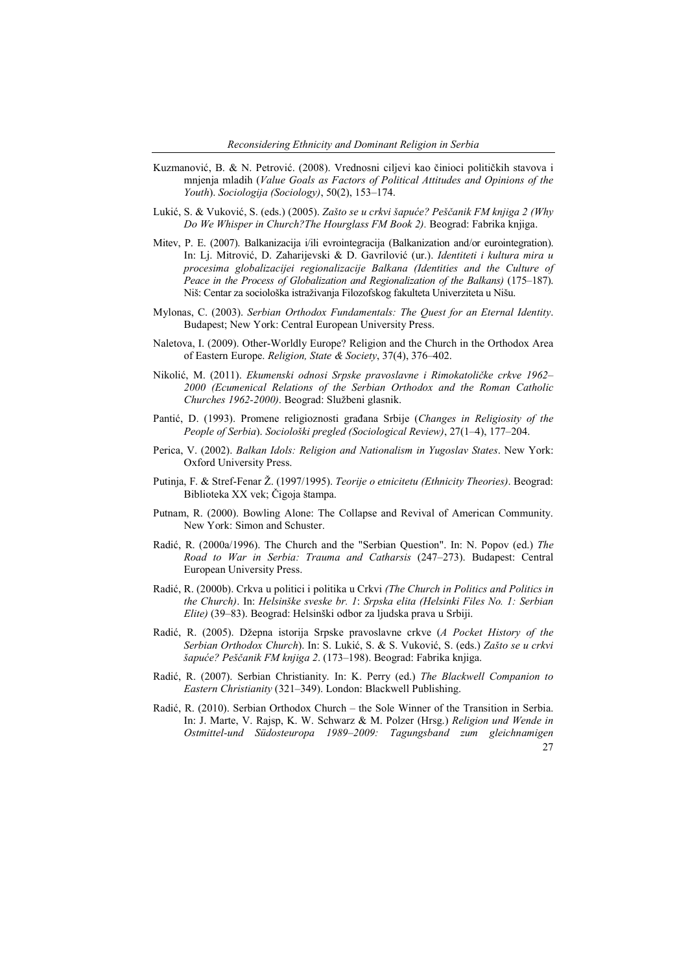- Kuzmanović, B. & N. Petrović. (2008). Vrednosni ciljevi kao činioci političkih stavova i mnjenja mladih (*Value Goals as Factors of Political Attitudes and Opinions of the Youth*). *Sociologija (Sociology)*, 50(2), 153–174.
- Lukić, S. & Vuković, S. (eds.) (2005). *Zašto se u crkvi šapuće? Peščanik FM knjiga 2 (Why Do We Whisper in Church?The Hourglass FM Book 2).* Beograd: Fabrika knjiga.
- Mitev, P. E. (2007). Balkanizacija i/ili evrointegracija (Balkanization and/or eurointegration). In: Lj. Mitrović, D. Zaharijevski & D. Gavrilović (ur.). *Identiteti i kultura mira u procesima globalizacijei regionalizacije Balkana (Identities and the Culture of Peace in the Process of Globalization and Regionalization of the Balkans)* (175–187). Niš: Centar za sociološka istraživanja Filozofskog fakulteta Univerziteta u Nišu.
- Mylonas, C. (2003). *Serbian Orthodox Fundamentals: The Quest for an Eternal Identity*. Budapest; New York: Central European University Press.
- Naletova, I. (2009). Other-Worldly Europe? Religion and the Church in the Orthodox Area of Eastern Europe. *Religion, State & Society*, 37(4), 376–402.
- Nikolić, M. (2011). *Ekumenski odnosi Srpske pravoslavne i Rimokatoličke crkve 1962– 2000 (Ecumenical Relations of the Serbian Orthodox and the Roman Catholic Churches 1962-2000)*. Beograd: Službeni glasnik.
- Pantić, D. (1993). Promene religioznosti građana Srbije (*Changes in Religiosity of the People of Serbia*). *Sociološki pregled (Sociological Review)*, 27(1–4), 177–204.
- Perica, V. (2002). *Balkan Idols: Religion and Nationalism in Yugoslav States*. New York: Oxford University Press.
- Putinja, F. & Stref-Fenar Ž. (1997/1995). *Teorije o etnicitetu (Ethnicity Theories)*. Beograd: Biblioteka XX vek; Čigoja štampa.
- Putnam, R. (2000). Bowling Alone: The Collapse and Revival of American Community. New York: Simon and Schuster.
- Radić, R. (2000a/1996). The Church and the "Serbian Question". In: N. Popov (ed.) *The Road to War in Serbia: Trauma and Catharsis* (247–273). Budapest: Central European University Press.
- Radić, R. (2000b). Crkva u politici i politika u Crkvi *(The Church in Politics and Politics in the Church)*. In: *Helsinške sveske br. 1*: *Srpska elita (Helsinki Files No. 1: Serbian Elite)* (39–83). Beograd: Helsinški odbor za ljudska prava u Srbiji.
- Radić, R. (2005). Džepna istorija Srpske pravoslavne crkve (*A Pocket History of the Serbian Orthodox Church*). In: S. Lukić, S. & S. Vuković, S. (eds.) *Zašto se u crkvi šapuće? Peščanik FM knjiga 2*. (173–198). Beograd: Fabrika knjiga.
- Radić, R. (2007). Serbian Christianity. In: K. Perry (ed.) *The Blackwell Companion to Eastern Christianity* (321–349). London: Blackwell Publishing.
- $27$ Radić, R. (2010). Serbian Orthodox Church – the Sole Winner of the Transition in Serbia. In: J. Marte, V. Rajsp, K. W. Schwarz & M. Polzer (Hrsg.) *Religion und Wende in Ostmittel-und Südosteuropa 1989–2009: Tagungsband zum gleichnamigen*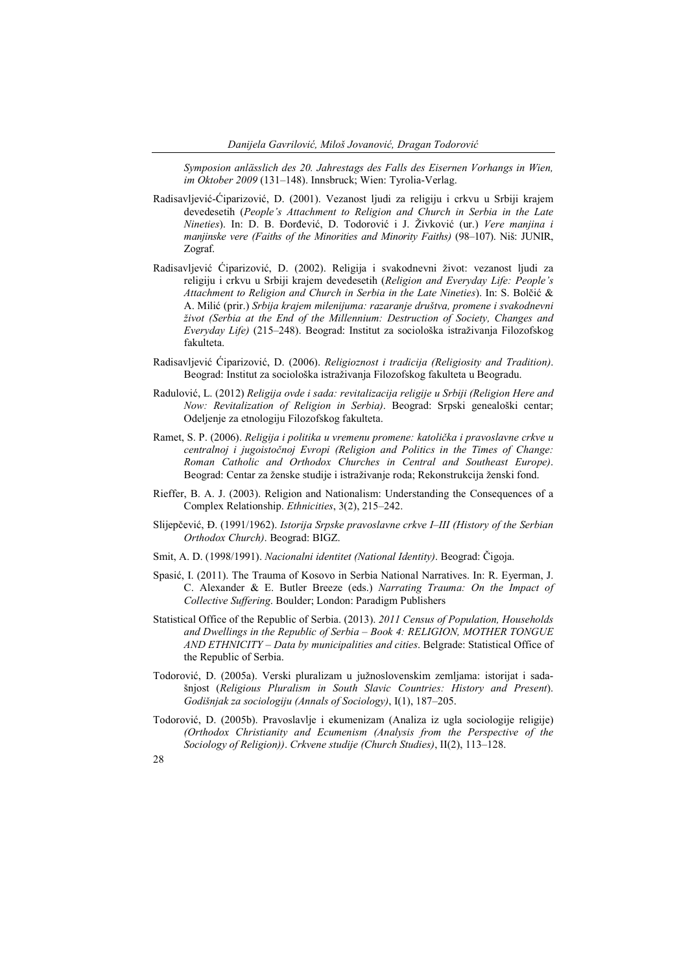*Symposion anlässlich des 20. Jahrestags des Falls des Eisernen Vorhangs in Wien, im Oktober 2009* (131–148). Innsbruck; Wien: Tyrolia-Verlag.

- Radisavljević-Ćiparizović, D. (2001). Vezanost ljudi za religiju i crkvu u Srbiji krajem devedesetih (*People's Attachment to Religion and Church in Serbia in the Late Nineties*). In: D. B. Đorđević, D. Todorović i J. Živković (ur.) *Vere manjina i manjinske vere (Faiths of the Minorities and Minority Faiths)* (98–107). Niš: JUNIR, Zograf.
- Radisavljević Ćiparizović, D. (2002). Religija i svakodnevni život: vezanost ljudi za religiju i crkvu u Srbiji krajem devedesetih (*Religion and Everyday Life: People's Attachment to Religion and Church in Serbia in the Late Nineties*). In: S. Bolčić & A. Milić (prir.) *Srbija krajem milenijuma: razaranje društva, promene i svakodnevni život (Serbia at the End of the Millennium: Destruction of Society, Changes and Everyday Life)* (215–248). Beograd: Institut za sociološka istraživanja Filozofskog fakulteta.
- Radisavljević Ćiparizović, D. (2006). *Religioznost i tradicija (Religiosity and Tradition)*. Beograd: Institut za sociološka istraživanja Filozofskog fakulteta u Beogradu.
- Radulović, L. (2012) *Religija ovde i sada: revitalizacija religije u Srbiji (Religion Here and Now: Revitalization of Religion in Serbia)*. Beograd: Srpski genealoški centar; Odeljenje za etnologiju Filozofskog fakulteta.
- Ramet, S. P. (2006). *Religija i politika u vremenu promene: katolička i pravoslavne crkve u centralnoj i jugoistočnoj Evropi (Religion and Politics in the Times of Change: Roman Catholic and Orthodox Churches in Central and Southeast Europe)*. Beograd: Centar za ženske studije i istraživanje roda; Rekonstrukcija ženski fond.
- Rieffer, B. A. J. (2003). Religion and Nationalism: Understanding the Consequences of a Complex Relationship. *Ethnicities*, 3(2), 215–242.
- Slijepčević, Đ. (1991/1962). *Istorija Srpske pravoslavne crkve I–III (History of the Serbian Orthodox Church)*. Beograd: BIGZ.
- Smit, A. D. (1998/1991). *Nacionalni identitet (National Identity)*. Beograd: Čigoja.
- Spasić, I. (2011). The Trauma of Kosovo in Serbia National Narratives. In: R. Eyerman, J. C. Alexander & E. Butler Breeze (eds.) *Narrating Trauma: On the Impact of Collective Suffering*. Boulder; London: Paradigm Publishers
- Statistical Office of the Republic of Serbia. (2013). *2011 Census of Population, Households and Dwellings in the Republic of Serbia – Book 4: RELIGION, MOTHER TONGUE AND ETHNICITY – Data by municipalities and cities*. Belgrade: Statistical Office of the Republic of Serbia.
- Todorović, D. (2005a). Verski pluralizam u južnoslovenskim zemlјama: istorijat i sadašnjost (*Religious Pluralism in South Slavic Countries: History and Present*). *Godišnjak za sociologiju (Annals of Sociology)*, I(1), 187–205.
- Todorović, D. (2005b). Pravoslavlјe i ekumenizam (Analiza iz ugla sociologije religije) *(Orthodox Christianity and Ecumenism (Analysis from the Perspective of the Sociology of Religion))*. *Crkvene studije (Church Studies)*, II(2), 113–128.
- 28